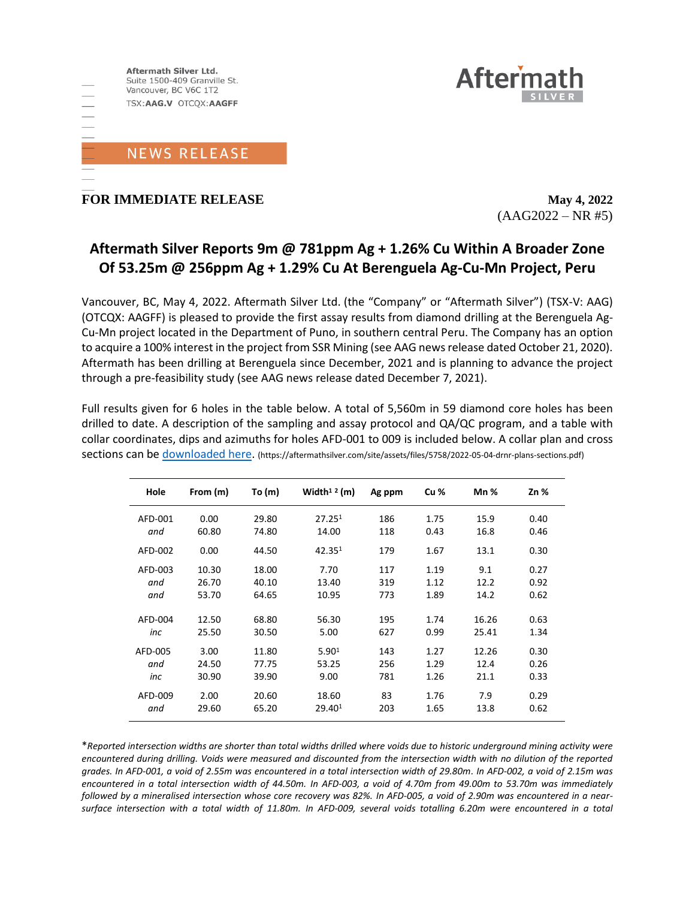

**FOR IMMEDIATE RELEASE May** 4, 2022

 $(AAG2022 - NR #5)$ 

**Aftern** 

# **Aftermath Silver Reports 9m @ 781ppm Ag + 1.26% Cu Within A Broader Zone Of 53.25m @ 256ppm Ag + 1.29% Cu At Berenguela Ag-Cu-Mn Project, Peru**

Vancouver, BC, May 4, 2022. Aftermath Silver Ltd. (the "Company" or "Aftermath Silver") (TSX-V: AAG) (OTCQX: AAGFF) is pleased to provide the first assay results from diamond drilling at the Berenguela Ag-Cu-Mn project located in the Department of Puno, in southern central Peru. The Company has an option to acquire a 100% interest in the project from SSR Mining (see AAG news release dated October 21, 2020). Aftermath has been drilling at Berenguela since December, 2021 and is planning to advance the project through a pre-feasibility study (see AAG news release dated December 7, 2021).

Full results given for 6 holes in the table below. A total of 5,560m in 59 diamond core holes has been drilled to date. A description of the sampling and assay protocol and QA/QC program, and a table with collar coordinates, dips and azimuths for holes AFD-001 to 009 is included below. A collar plan and cross sections can be [downloaded here.](https://aftermathsilver.com/site/assets/files/5758/2022-05-04-drnr-plans-sections.pdf) (https://aftermathsilver.com/site/assets/files/5758/2022-05-04-drnr-plans-sections.pdf)

| Hole    | From (m) | To $(m)$ | Width <sup>12</sup> (m) | Ag ppm | Cu <sub>%</sub> | $Mn$ % | 2n%  |
|---------|----------|----------|-------------------------|--------|-----------------|--------|------|
| AFD-001 | 0.00     | 29.80    | 27.25 <sup>1</sup>      | 186    | 1.75            | 15.9   | 0.40 |
| and     | 60.80    | 74.80    | 14.00                   | 118    | 0.43            | 16.8   | 0.46 |
| AFD-002 | 0.00     | 44.50    | 42.35 <sup>1</sup>      | 179    | 1.67            | 13.1   | 0.30 |
| AFD-003 | 10.30    | 18.00    | 7.70                    | 117    | 1.19            | 9.1    | 0.27 |
| and     | 26.70    | 40.10    | 13.40                   | 319    | 1.12            | 12.2   | 0.92 |
| and     | 53.70    | 64.65    | 10.95                   | 773    | 1.89            | 14.2   | 0.62 |
|         |          |          |                         |        |                 |        |      |
| AFD-004 | 12.50    | 68.80    | 56.30                   | 195    | 1.74            | 16.26  | 0.63 |
| inc     | 25.50    | 30.50    | 5.00                    | 627    | 0.99            | 25.41  | 1.34 |
| AFD-005 | 3.00     | 11.80    | 5.90 <sup>1</sup>       | 143    | 1.27            | 12.26  | 0.30 |
| and     | 24.50    | 77.75    | 53.25                   | 256    | 1.29            | 12.4   | 0.26 |
| inc     | 30.90    | 39.90    | 9.00                    | 781    | 1.26            | 21.1   | 0.33 |
| AFD-009 | 2.00     | 20.60    | 18.60                   | 83     | 1.76            | 7.9    | 0.29 |
| and     | 29.60    | 65.20    | 29.40 <sup>1</sup>      | 203    | 1.65            | 13.8   | 0.62 |

\**Reported intersection widths are shorter than total widths drilled where voids due to historic underground mining activity were encountered during drilling. Voids were measured and discounted from the intersection width with no dilution of the reported grades. In AFD-001, a void of 2.55m was encountered in a total intersection width of 29.80m. In AFD-002, a void of 2.15m was encountered in a total intersection width of 44.50m. In AFD-003, a void of 4.70m from 49.00m to 53.70m was immediately followed by a mineralised intersection whose core recovery was 82%. In AFD-005, a void of 2.90m was encountered in a nearsurface intersection with a total width of 11.80m. In AFD-009, several voids totalling 6.20m were encountered in a total*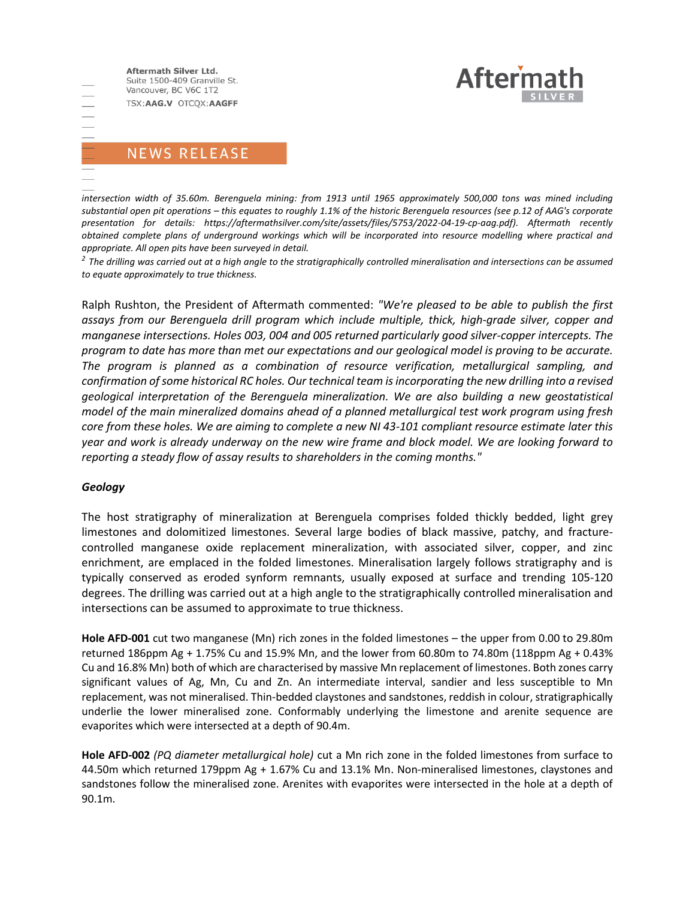

## **NEWS RELEASE**

*intersection width of 35.60m. Berenguela mining: from 1913 until 1965 approximately 500,000 tons was mined including substantial open pit operations – this equates to roughly 1.1% of the historic Berenguela resources (see p.12 of AAG's corporate presentation for details: https://aftermathsilver.com/site/assets/files/5753/2022-04-19-cp-aag.pdf). Aftermath recently obtained complete plans of underground workings which will be incorporated into resource modelling where practical and appropriate. All open pits have been surveyed in detail.* 

*2 The drilling was carried out at a high angle to the stratigraphically controlled mineralisation and intersections can be assumed to equate approximately to true thickness.*

Ralph Rushton, the President of Aftermath commented: *"We're pleased to be able to publish the first assays from our Berenguela drill program which include multiple, thick, high-grade silver, copper and manganese intersections. Holes 003, 004 and 005 returned particularly good silver-copper intercepts. The program to date has more than met our expectations and our geological model is proving to be accurate. The program is planned as a combination of resource verification, metallurgical sampling, and confirmation of some historical RC holes. Our technical team is incorporating the new drilling into a revised geological interpretation of the Berenguela mineralization. We are also building a new geostatistical model of the main mineralized domains ahead of a planned metallurgical test work program using fresh core from these holes. We are aiming to complete a new NI 43-101 compliant resource estimate later this year and work is already underway on the new wire frame and block model. We are looking forward to reporting a steady flow of assay results to shareholders in the coming months."*

### *Geology*

三三三

The host stratigraphy of mineralization at Berenguela comprises folded thickly bedded, light grey limestones and dolomitized limestones. Several large bodies of black massive, patchy, and fracturecontrolled manganese oxide replacement mineralization, with associated silver, copper, and zinc enrichment, are emplaced in the folded limestones. Mineralisation largely follows stratigraphy and is typically conserved as eroded synform remnants, usually exposed at surface and trending 105-120 degrees. The drilling was carried out at a high angle to the stratigraphically controlled mineralisation and intersections can be assumed to approximate to true thickness.

**Hole AFD-001** cut two manganese (Mn) rich zones in the folded limestones – the upper from 0.00 to 29.80m returned 186ppm Ag + 1.75% Cu and 15.9% Mn, and the lower from 60.80m to 74.80m (118ppm Ag + 0.43% Cu and 16.8% Mn) both of which are characterised by massive Mn replacement of limestones. Both zones carry significant values of Ag, Mn, Cu and Zn. An intermediate interval, sandier and less susceptible to Mn replacement, was not mineralised. Thin-bedded claystones and sandstones, reddish in colour, stratigraphically underlie the lower mineralised zone. Conformably underlying the limestone and arenite sequence are evaporites which were intersected at a depth of 90.4m.

**Hole AFD-002** *(PQ diameter metallurgical hole)* cut a Mn rich zone in the folded limestones from surface to 44.50m which returned 179ppm Ag + 1.67% Cu and 13.1% Mn. Non-mineralised limestones, claystones and sandstones follow the mineralised zone. Arenites with evaporites were intersected in the hole at a depth of 90.1m.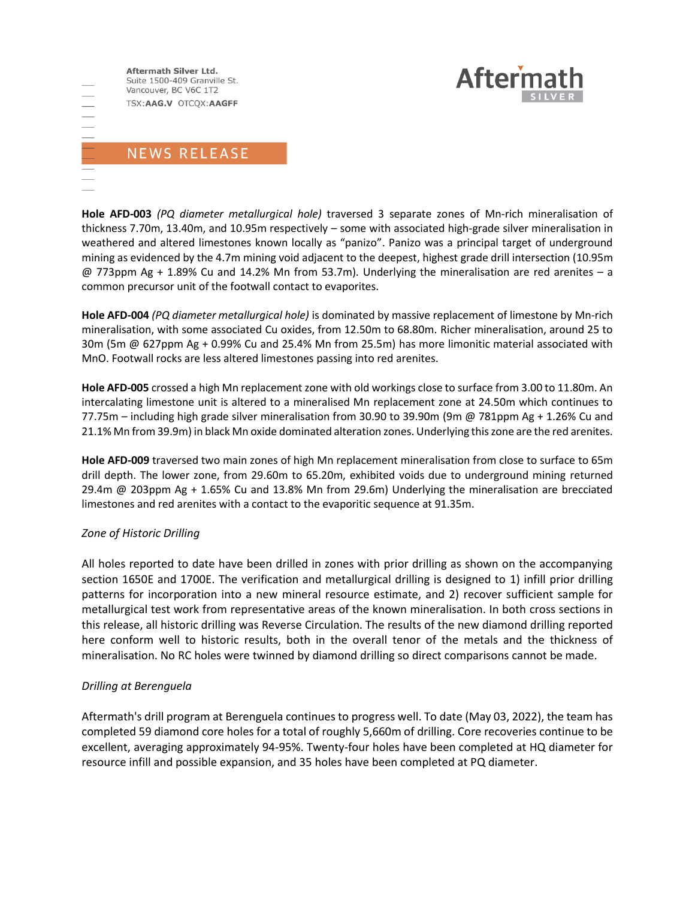

## NEWS RELEASE

**Hole AFD-003** *(PQ diameter metallurgical hole)* traversed 3 separate zones of Mn-rich mineralisation of thickness 7.70m, 13.40m, and 10.95m respectively – some with associated high-grade silver mineralisation in weathered and altered limestones known locally as "panizo". Panizo was a principal target of underground mining as evidenced by the 4.7m mining void adjacent to the deepest, highest grade drill intersection (10.95m @ 773ppm Ag + 1.89% Cu and 14.2% Mn from 53.7m). Underlying the mineralisation are red arenites – a common precursor unit of the footwall contact to evaporites.

**Hole AFD-004** *(PQ diameter metallurgical hole)* is dominated by massive replacement of limestone by Mn-rich mineralisation, with some associated Cu oxides, from 12.50m to 68.80m. Richer mineralisation, around 25 to 30m (5m @ 627ppm Ag + 0.99% Cu and 25.4% Mn from 25.5m) has more limonitic material associated with MnO. Footwall rocks are less altered limestones passing into red arenites.

**Hole AFD-005** crossed a high Mn replacement zone with old workings close to surface from 3.00 to 11.80m. An intercalating limestone unit is altered to a mineralised Mn replacement zone at 24.50m which continues to 77.75m – including high grade silver mineralisation from 30.90 to 39.90m (9m @ 781ppm Ag + 1.26% Cu and 21.1% Mn from 39.9m) in black Mn oxide dominated alteration zones. Underlying this zone are the red arenites.

**Hole AFD-009** traversed two main zones of high Mn replacement mineralisation from close to surface to 65m drill depth. The lower zone, from 29.60m to 65.20m, exhibited voids due to underground mining returned 29.4m @ 203ppm Ag + 1.65% Cu and 13.8% Mn from 29.6m) Underlying the mineralisation are brecciated limestones and red arenites with a contact to the evaporitic sequence at 91.35m.

### *Zone of Historic Drilling*

All holes reported to date have been drilled in zones with prior drilling as shown on the accompanying section 1650E and 1700E. The verification and metallurgical drilling is designed to 1) infill prior drilling patterns for incorporation into a new mineral resource estimate, and 2) recover sufficient sample for metallurgical test work from representative areas of the known mineralisation. In both cross sections in this release, all historic drilling was Reverse Circulation. The results of the new diamond drilling reported here conform well to historic results, both in the overall tenor of the metals and the thickness of mineralisation. No RC holes were twinned by diamond drilling so direct comparisons cannot be made.

### *Drilling at Berenguela*

Aftermath's drill program at Berenguela continues to progress well. To date (May 03, 2022), the team has completed 59 diamond core holes for a total of roughly 5,660m of drilling. Core recoveries continue to be excellent, averaging approximately 94-95%. Twenty-four holes have been completed at HQ diameter for resource infill and possible expansion, and 35 holes have been completed at PQ diameter.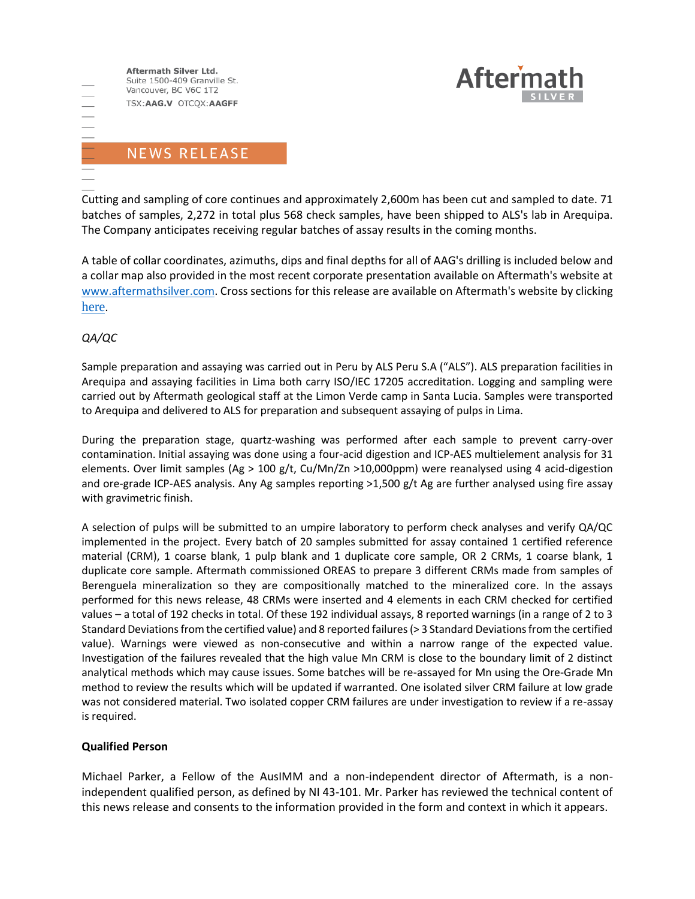

## **NEWS RELEASE**

Cutting and sampling of core continues and approximately 2,600m has been cut and sampled to date. 71 batches of samples, 2,272 in total plus 568 check samples, have been shipped to ALS's lab in Arequipa. The Company anticipates receiving regular batches of assay results in the coming months.

A table of collar coordinates, azimuths, dips and final depths for all of AAG's drilling is included below and a collar map also provided in the most recent corporate presentation available on Aftermath's website at [www.aftermathsilver.com.](http://www.aftermathsilver.com/) Cross sections for this release are available on Aftermath's website by clicking [here](https://aftermathsilver.com/site/assets/files/5758/2022-05-04-drnr-plans-sections.pdf).

### *QA/QC*

Sample preparation and assaying was carried out in Peru by ALS Peru S.A ("ALS"). ALS preparation facilities in Arequipa and assaying facilities in Lima both carry ISO/IEC 17205 accreditation. Logging and sampling were carried out by Aftermath geological staff at the Limon Verde camp in Santa Lucia. Samples were transported to Arequipa and delivered to ALS for preparation and subsequent assaying of pulps in Lima.

During the preparation stage, quartz-washing was performed after each sample to prevent carry-over contamination. Initial assaying was done using a four-acid digestion and ICP-AES multielement analysis for 31 elements. Over limit samples (Ag > 100 g/t, Cu/Mn/Zn >10,000ppm) were reanalysed using 4 acid-digestion and ore-grade ICP-AES analysis. Any Ag samples reporting >1,500 g/t Ag are further analysed using fire assay with gravimetric finish.

A selection of pulps will be submitted to an umpire laboratory to perform check analyses and verify QA/QC implemented in the project. Every batch of 20 samples submitted for assay contained 1 certified reference material (CRM), 1 coarse blank, 1 pulp blank and 1 duplicate core sample, OR 2 CRMs, 1 coarse blank, 1 duplicate core sample. Aftermath commissioned OREAS to prepare 3 different CRMs made from samples of Berenguela mineralization so they are compositionally matched to the mineralized core. In the assays performed for this news release, 48 CRMs were inserted and 4 elements in each CRM checked for certified values – a total of 192 checks in total. Of these 192 individual assays, 8 reported warnings (in a range of 2 to 3 Standard Deviations from the certified value) and 8 reported failures (> 3 Standard Deviations from the certified value). Warnings were viewed as non-consecutive and within a narrow range of the expected value. Investigation of the failures revealed that the high value Mn CRM is close to the boundary limit of 2 distinct analytical methods which may cause issues. Some batches will be re-assayed for Mn using the Ore-Grade Mn method to review the results which will be updated if warranted. One isolated silver CRM failure at low grade was not considered material. Two isolated copper CRM failures are under investigation to review if a re-assay is required.

### **Qualified Person**

Michael Parker, a Fellow of the AusIMM and a non-independent director of Aftermath, is a nonindependent qualified person, as defined by NI 43-101. Mr. Parker has reviewed the technical content of this news release and consents to the information provided in the form and context in which it appears.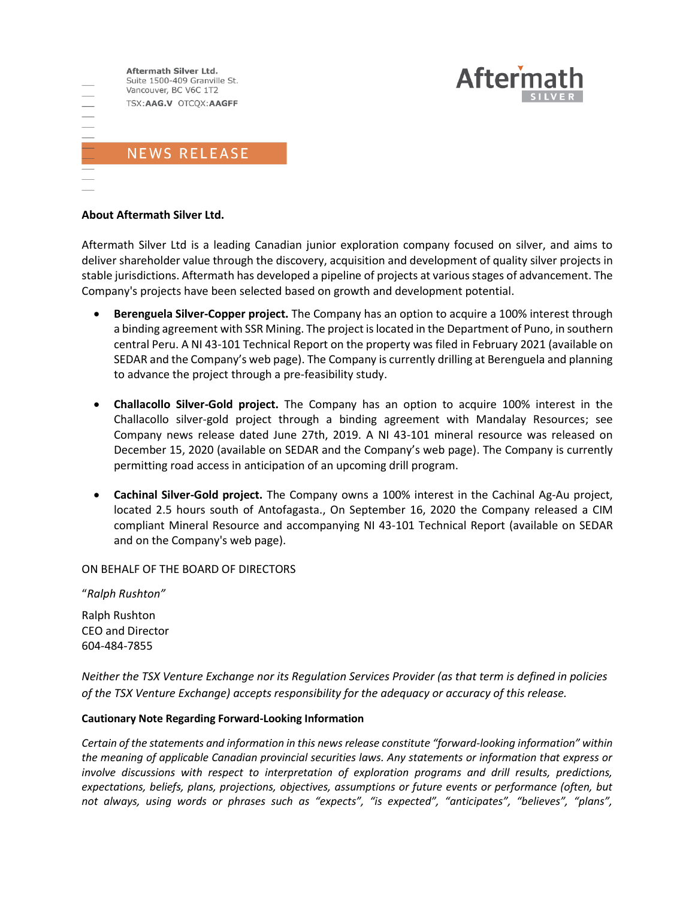

#### **About Aftermath Silver Ltd.**

Aftermath Silver Ltd is a leading Canadian junior exploration company focused on silver, and aims to deliver shareholder value through the discovery, acquisition and development of quality silver projects in stable jurisdictions. Aftermath has developed a pipeline of projects at various stages of advancement. The Company's projects have been selected based on growth and development potential.

**Aftern** 

- **Berenguela Silver-Copper project.** The Company has an option to acquire a 100% interest through a binding agreement with SSR Mining. The project is located in the Department of Puno, in southern central Peru. A NI 43-101 Technical Report on the property was filed in February 2021 (available on SEDAR and the Company's web page). The Company is currently drilling at Berenguela and planning to advance the project through a pre-feasibility study.
- **Challacollo Silver-Gold project.** The Company has an option to acquire 100% interest in the Challacollo silver-gold project through a binding agreement with Mandalay Resources; see Company news release dated June 27th, 2019. A NI 43-101 mineral resource was released on December 15, 2020 (available on SEDAR and the Company's web page). The Company is currently permitting road access in anticipation of an upcoming drill program.
- **Cachinal Silver-Gold project.** The Company owns a 100% interest in the Cachinal Ag-Au project, located 2.5 hours south of Antofagasta., On September 16, 2020 the Company released a CIM compliant Mineral Resource and accompanying NI 43-101 Technical Report (available on SEDAR and on the Company's web page).

ON BEHALF OF THE BOARD OF DIRECTORS

"*Ralph Rushton"*

Ralph Rushton CEO and Director 604-484-7855

*Neither the TSX Venture Exchange nor its Regulation Services Provider (as that term is defined in policies of the TSX Venture Exchange) accepts responsibility for the adequacy or accuracy of this release.*

#### **Cautionary Note Regarding Forward-Looking Information**

*Certain of the statements and information in this news release constitute "forward-looking information" within the meaning of applicable Canadian provincial securities laws. Any statements or information that express or involve discussions with respect to interpretation of exploration programs and drill results, predictions, expectations, beliefs, plans, projections, objectives, assumptions or future events or performance (often, but not always, using words or phrases such as "expects", "is expected", "anticipates", "believes", "plans",*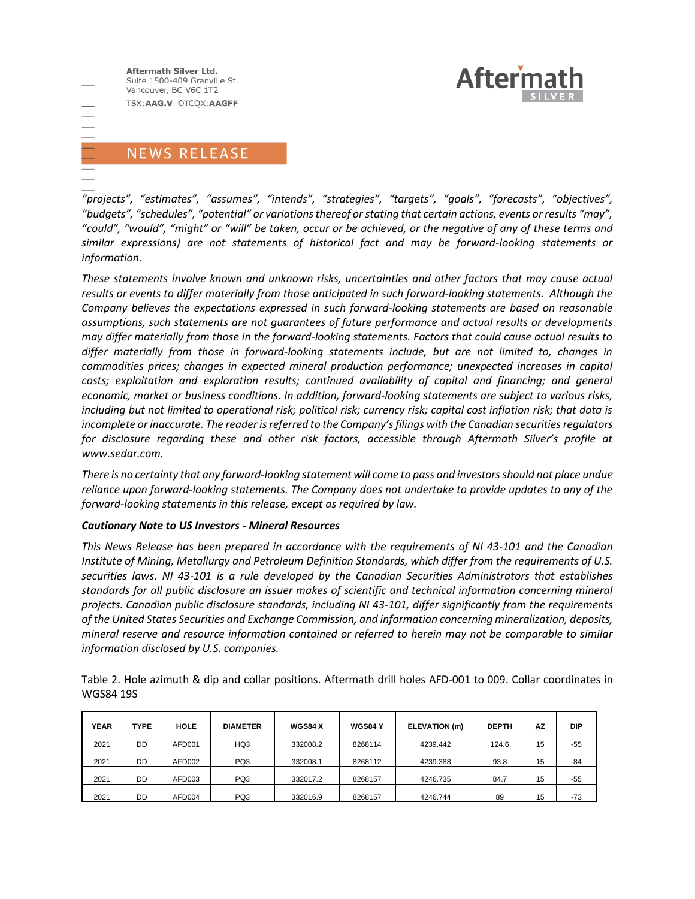

# NEWS RELEASE

*"projects", "estimates", "assumes", "intends", "strategies", "targets", "goals", "forecasts", "objectives", "budgets", "schedules", "potential" or variations thereof or stating that certain actions, events or results "may", "could", "would", "might" or "will" be taken, occur or be achieved, or the negative of any of these terms and similar expressions) are not statements of historical fact and may be forward-looking statements or information.*

*These statements involve known and unknown risks, uncertainties and other factors that may cause actual results or events to differ materially from those anticipated in such forward‐looking statements. Although the Company believes the expectations expressed in such forward‐looking statements are based on reasonable assumptions, such statements are not guarantees of future performance and actual results or developments may differ materially from those in the forward‐looking statements. Factors that could cause actual results to differ materially from those in forward‐looking statements include, but are not limited to, changes in commodities prices; changes in expected mineral production performance; unexpected increases in capital costs; exploitation and exploration results; continued availability of capital and financing; and general economic, market or business conditions. In addition, forward‐looking statements are subject to various risks, including but not limited to operational risk; political risk; currency risk; capital cost inflation risk; that data is incomplete or inaccurate. The reader is referred to the Company's filings with the Canadian securities regulators for disclosure regarding these and other risk factors, accessible through Aftermath Silver's profile at www.sedar.com.*

*There is no certainty that any forward‐looking statement will come to pass and investors should not place undue reliance upon forward‐looking statements. The Company does not undertake to provide updates to any of the forward‐looking statements in this release, except as required by law.*

#### *Cautionary Note to US Investors - Mineral Resources*

*This News Release has been prepared in accordance with the requirements of NI 43-101 and the Canadian Institute of Mining, Metallurgy and Petroleum Definition Standards, which differ from the requirements of U.S. securities laws. NI 43-101 is a rule developed by the Canadian Securities Administrators that establishes standards for all public disclosure an issuer makes of scientific and technical information concerning mineral projects. Canadian public disclosure standards, including NI 43-101, differ significantly from the requirements of the United States Securities and Exchange Commission, and information concerning mineralization, deposits, mineral reserve and resource information contained or referred to herein may not be comparable to similar information disclosed by U.S. companies.*

Table 2. Hole azimuth & dip and collar positions. Aftermath drill holes AFD-001 to 009. Collar coordinates in WGS84 19S

| <b>YEAR</b> | <b>TYPE</b> | <b>HOLE</b> | <b>DIAMETER</b> | <b>WGS84 X</b> | <b>WGS84 Y</b> | ELEVATION (m) | <b>DEPTH</b> | AZ | <b>DIP</b> |
|-------------|-------------|-------------|-----------------|----------------|----------------|---------------|--------------|----|------------|
| 2021        | DD          | AFD001      | HQ3             | 332008.2       | 8268114        | 4239.442      | 124.6        | 15 | $-55$      |
| 2021        | DD          | AFD002      | PQ3             | 332008.1       | 8268112        | 4239.388      | 93.8         | 15 | $-84$      |
| 2021        | DD          | AFD003      | PQ3             | 332017.2       | 8268157        | 4246.735      | 84.7         | 15 | $-55$      |
| 2021        | DD          | AFD004      | PQ3             | 332016.9       | 8268157        | 4246.744      | 89           | 15 | $-73$      |